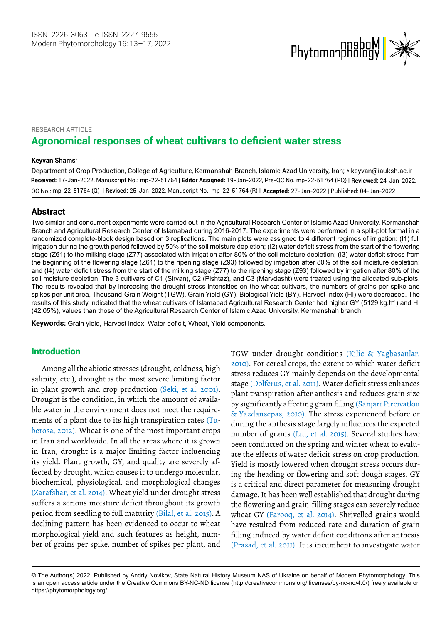

# RESEARCH ARTICLE **Agronomical responses of wheat cultivars to deficient water stress**

#### **Keyvan Shams\***

Department of Crop Production, College of Agriculture, Kermanshah Branch, Islamic Azad University, Iran; \* keyvan@iauksh.ac.ir **Received:** 17-Jan-2022, Manuscript No.: mp-22-51764 | **Editor Assigned:** 19-Jan-2022, Pre-QC No. mp-22-51764 (PQ) | **Reviewed:** 24-Jan-2022, mp-22-51764 (Q) | **Revised:** 25-Jan-2022, Manuscript No.: mp-22-51764 (R) | **Accepted:** 27-Jan-2022 | Published: 04-Jan-2022 QC No.:

### **Abstract**

Two similar and concurrent experiments were carried out in the Agricultural Research Center of Islamic Azad University, Kermanshah Branch and Agricultural Research Center of Islamabad during 2016-2017. The experiments were performed in a split-plot format in a randomized complete-block design based on 3 replications. The main plots were assigned to 4 different regimes of irrigation: (I1) full irrigation during the growth period followed by 50% of the soil moisture depletion; (I2) water deficit stress from the start of the flowering stage (Z61) to the milking stage (Z77) associated with irrigation after 80% of the soil moisture depletion; (I3) water deficit stress from the beginning of the flowering stage (Z61) to the ripening stage (Z93) followed by irrigation after 80% of the soil moisture depletion; and (I4) water deficit stress from the start of the milking stage (Z77) to the ripening stage (Z93) followed by irrigation after 80% of the soil moisture depletion. The 3 cultivars of C1 (Sirvan), C2 (Pishtaz), and C3 (Marvdasht) were treated using the allocated sub-plots. The results revealed that by increasing the drought stress intensities on the wheat cultivars, the numbers of grains per spike and spikes per unit area, Thousand-Grain Weight (TGW), Grain Yield (GY), Biological Yield (BY), Harvest Index (HI) were decreased. The results of this study indicated that the wheat cultivars of Islamabad Agricultural Research Center had higher GY (5129 kg.h-1) and HI (42.05%), values than those of the Agricultural Research Center of Islamic Azad University, Kermanshah branch.

**Keywords:** Grain yield, Harvest index, Water deficit, Wheat, Yield components.

## Introduction

Among all the abiotic stresses (drought, coldness, high salinity, etc.), drought is the most severe limiting factor Drought is the condition, in which the amount of available water in the environment does not meet the require ments of a plant due to its high transpiration rates (Tuin Iran and worldwide. In all the areas where it is grown in Iran, drought is a major limiting factor influencing its yield. Plant growth, GY, and quality are severely affected by drought, which causes it to undergo molecular, biochemical, physiological, and morphological changes suffers a serious moisture deficit throughout its growth declining pattern has been evidenced to occur to wheat morphological yield and such features as height, number of grains per spike, number of spikes per plant, and in plant growth and crop production (Seki, et al. 2001). berosa, 2012). Wheat is one of the most important crops (Zarafshar, et al. 2014). Wheat yield under drought stress period from seedling to full maturity (Bilal, et al. 2015). A stress reduces GY mainly depends on the developmental plant transpiration after anthesis and reduces grain size during the anthesis stage largely influences the expected been conducted on the spring and winter wheat to evaluate the effects of water deficit stress on crop production. Yield is mostly lowered when drought stress occurs during the heading or flowering and soft dough stages. GY is a critical and direct parameter for measuring drought damage. It has been well established that drought during the flowering and grain-filling stages can severely reduce have resulted from reduced rate and duration of grain filling induced by water deficit conditions after anthesis TGW under drought conditions (Kilic & Yagbasanlar, 2010). For cereal crops, the extent to which water deficit & Yazdansepas, 2010). The stress experienced before or by significantly affecting grain filling (Sanjari Pireivatlou stage (Dolferus, et al. 2011). Water deficit stress enhances number of grains (Liu, et al. 2015). Several studies have wheat GY (Farooq, et al. 2014). Shrivelled grains would (Prasad, et al. 2011). It is incumbent to investigate water

<sup>©</sup> The Author(s) 2022. Published by Andriy Novikov, State Natural History Museum NAS of Ukraine on behalf of Modern Phytomorphology. This is an open access article under the Creative Commons BY-NC-ND license (http://creativecommons.org/ licenses/by-nc-nd/4.0/) freely available on https://phytomorphology.org/.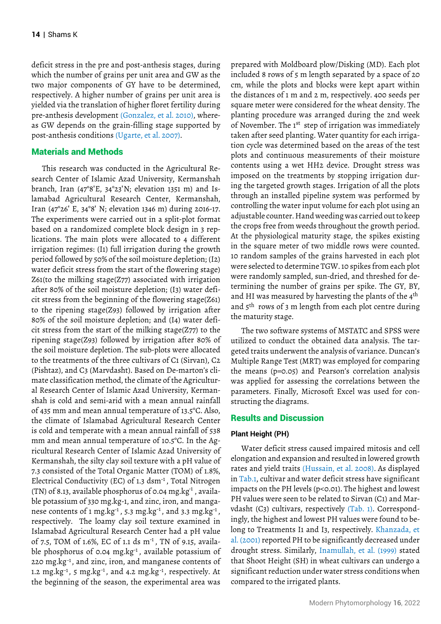deficit stress in the pre and post-anthesis stages, during which the number of grains per unit area and GW as the two major components of GY have to be determined, respectively. A higher number of grains per unit area is yielded via the translation of higher floret fertility during pre-anthesis development (Gonzalez, et al. 2010), whereas GW depends on the grain-filling stage supported by post-anthesis conditions (Ugarte, et al. 2007).

### Materials and Methods

This research was conducted in the Agricultural Research Center of Islamic Azad University, Kermanshah branch, Iran  $(47°8'E, 34°23'N;$  elevation 1351 m) and Islamabad Agricultural Research Center, Kermanshah, Iran (47°26ʹ E, 34°8ʹ N; elevation 1346 m) during 2016-17. The experiments were carried out in a split-plot format based on a randomized complete block design in 3 replications. The main plots were allocated to 4 different irrigation regimes: (I1) full irrigation during the growth period followed by 50% of the soil moisture depletion; (I2) water deficit stress from the start of the flowering stage) Z61(to the milking stage(Z77) associated with irrigation after 80% of the soil moisture depletion; (I3) water deficit stress from the beginning of the flowering stage(Z61) to the ripening stage(Z93) followed by irrigation after 80% of the soil moisture depletion; and (I4) water deficit stress from the start of the milking stage( $Z77$ ) to the ripening stage(Z93) followed by irrigation after 80% of the soil moisture depletion. The sub-plots were allocated to the treatments of the three cultivars of C1 (Sirvan), C2 (Pishtaz), and C3 (Marvdasht). Based on De-marton's climate classification method, the climate of the Agricultural Research Center of Islamic Azad University, Kermanshah is cold and semi-arid with a mean annual rainfall of 435 mm and mean annual temperature of 13.5°C. Also, the climate of Islamabad Agricultural Research Center is cold and temperate with a mean annual rainfall of 538 mm and mean annual temperature of 10.5°C. In the Agricultural Research Center of Islamic Azad University of Kermanshah, the silty clay soil texture with a pH value of 7.3 consisted of the Total Organic Matter (TOM) of 1.8%, (TN) of 8.13, available phosphorus of 0.04 mg.kg<sup>-1</sup>, available potassium of 330 mg.kg-1, and zinc, iron, and mangarespectively. The loamy clay soil texture examined in Islamabad Agricultural Research Center had a pH value of 7.5, TOM of 1.6%, EC of 1.1 ds m<sup>-1</sup>, TN of 9.15, availathe beginning of the season, the experimental area was nese contents of 1 mg. $kg^{-1}$ , 5.3 mg. $kg^{-1}$ , and 3.3 mg. $kg^{-1}$ , Electrical Conductivity (EC) of 1.3 dsm-1 , Total Nitrogen ble phosphorus of 0.04 mg.kg-1 , available potassium of 220 mg.kg<sup>-1</sup>, and zinc, iron, and manganese contents of 1.2 mg.kg<sup>-1</sup>, 5 mg.kg<sup>-1</sup>, and 4.2 mg.kg<sup>-1</sup>, respectively. At the haritoning of the assessor the assessmental ages were

prepared with Moldboard plow/Disking (MD). Each plot included 8 rows of 5 m length separated by a space of 20 cm, while the plots and blocks were kept apart within the distances of 1 m and 2 m, respectively. 400 seeds per square meter were considered for the wheat density. The planting procedure was arranged during the 2nd week taken after seed planting. Water quantity for each irrigation cycle was determined based on the areas of the test plots and continuous measurements of their moisture contents using a wet HH2 device. Drought stress was imposed on the treatments by stopping irrigation during the targeted growth stages. Irrigation of all the plots through an installed pipeline system was performed by controlling the water input volume for each plot using an adjustable counter. Hand weeding was carried out to keep the crops free from weeds throughout the growth period. At the physiological maturity stage, the spikes existing in the square meter of two middle rows were counted. 10 random samples of the grains harvested in each plot were selected to determine TGW. 10 spikes from each plot were randomly sampled, sun-dried, and threshed for determining the number of grains per spike. The GY, BY, the maturity stage. of November. The 1<sup>st</sup> step of irrigation was immediately and 5th rows of 3 m length from each plot centre during and HI was measured by harvesting the plants of the 4<sup>th</sup>

The two software systems of MSTATC and SPSS were utilized to conduct the obtained data analysis. The targeted traits underwent the analysis of variance. Duncan's Multiple Range Test (MRT) was employed for comparing the means (p=0.05) and Pearson's correlation analysis was applied for assessing the correlations between the parameters. Finally, Microsoft Excel was used for constructing the diagrams.

## Results and Discussion

#### **Plant Height (PH)**

Water deficit stress caused impaired mitosis and cell elongation and expansion and resulted in lowered growth impacts on the PH levels (p<0.01). The highest and lowest PH values were seen to be related to Sirvan (C1) and Mar vdasht (C3) cultivars, respectively (Tab. 1). Correspondingly, the highest and lowest PH values were found to bethat Shoot Height (SH) in wheat cultivars can undergo a significant reduction under water stress conditions when compared to the irrigated plants. in Tab.1, cultivar and water deficit stress have significant long to Treatments I1 and I3, respectively. Khanzada, et al. (2001) reported PH to be significantly decreased under drought stress. Similarly, Inamullah, et al. (1999) stated rates and yield traits (Hussain, et al. 2008). As displayed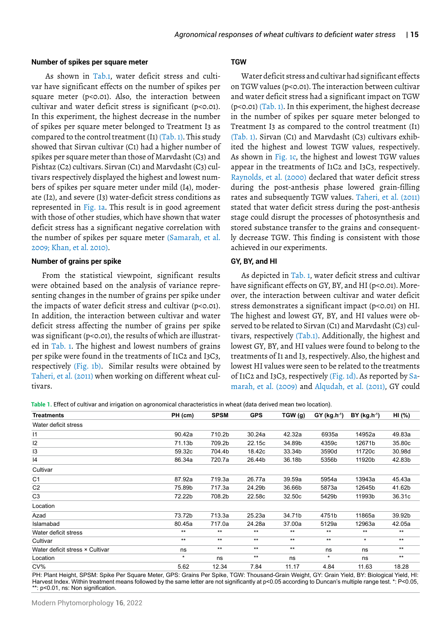#### **Number of spikes per square meter**

- As shown in Tab.1, water deficit stress and culti var have significant effects on the number of spikes per square meter (p<0.01). Also, the interaction between cultivar and water deficit stress is significant (p<0.01). In this experiment, the highest decrease in the number of spikes per square meter belonged to Treatment I3 as showed that Sirvan cultivar (C1) had a higher number of spikes per square meter than those of Marvdasht (C3) and Pishtaz (C2) cultivars. Sirvan (C1) and Marvdasht (C3) cultivars respectively displayed the highest and lowest numbers of spikes per square meter under mild (I4), moderate (I2), and severe (I3) water-deficit stress conditions as with those of other studies, which have shown that water deficit stress has a significant negative correlation with compared to the control treatment (I1) (Tab. 1). This study 2009; Khan, et al. 2010). the number of spikes per square meter (Samarah, et al. represented in Fig. 1a. This result is in good agreement

#### **Number of grains per spike**

From the statistical viewpoint, significant results were obtained based on the analysis of variance representing changes in the number of grains per spike under the impacts of water deficit stress and cultivar (p<0.01). In addition, the interaction between cultivar and water deficit stress affecting the number of grains per spike was significant (p<0.01), the results of which are illustratper spike were found in the treatments of I1C2 and I3C3, Taheri, et al. (2011) when working on different wheat cul- of I1C2 and I3C3, respectively (Fig. 1d). As reported by Sa tivars. ed in Tab. 1. The highest and lowest numbers of grains respectively (Fig. 1b). Similar results were obtained by

### **TGW**

Water deficit stress and cultivar had significant effects on TGW values (p<0.01). The interaction between cultivar and water deficit stress had a significant impact on TGW in the number of spikes per square meter belonged to Treatment I3 as compared to the control treatment (I1) (Tab. 1). Sirvan (C1) and Marvdasht (C3) cultivars exhibited the highest and lowest TGW values, respectively. appear in the treatments of I1C2 and I3C3, respectively. during the post-anthesis phase lowered grain-filling stated that water deficit stress during the post-anthesis stage could disrupt the processes of photosynthesis and stored substance transfer to the grains and consequently decrease TGW. This finding is consistent with those achieved in our experiments. (p<0.01) (Tab. 1). In this experiment, the highest decrease As shown in Fig. 1c, the highest and lowest TGW values Raynolds, et al. (2000) declared that water deficit stress rates and subsequently TGW values. Taheri, et al. (2011)

#### **GY, BY, and HI**

have significant effects on GY, BY, and HI (p<0.01). Moreover, the interaction between cultivar and water deficit stress demonstrates a significant impact (p<0.01) on HI. The highest and lowest GY, BY, and HI values were observed to be related to Sirvan (C1) and Marvdasht (C3) cullowest GY, BY, and HI values were found to belong to the treatments of I1 and I3, respectively. Also, the highest and lowest HI values were seen to be related to the treatments of I1C2 and I3C3, respectively (Fig. 1d). As reported by Sa-As depicted in Tab. 1, water deficit stress and cultivar tivars, respectively (Tab.1). Additionally, the highest and marah, et al. (2009) and Alqudah, et al. (2011), GY could

**Table 1.** Effect of cultivar and irrigation on agronomical characteristics in wheat (data derived mean two location).

| Treatments                      | PH (cm) | <b>SPSM</b> | <b>GPS</b> | TGW (g) | $GY (kg.h^{-1})$ | $BY (kg.h^{-1})$ | HI (%) |
|---------------------------------|---------|-------------|------------|---------|------------------|------------------|--------|
| Water deficit stress            |         |             |            |         |                  |                  |        |
| $\vert$ 1                       | 90.42a  | 710.2b      | 30.24a     | 42.32a  | 6935a            | 14952a           | 49.83a |
| 2                               | 71.13b  | 709.2b      | 22.15c     | 34.89b  | 4359c            | 12671b           | 35.80c |
| 13                              | 59.32c  | 704.4b      | 18.42c     | 33.34b  | 3590d            | 11720c           | 30.98d |
| 14                              | 86.34a  | 720.7a      | 26.44b     | 36.18b  | 5356b            | 11920b           | 42.83b |
| Cultivar                        |         |             |            |         |                  |                  |        |
| C <sub>1</sub>                  | 87.92a  | 719.3a      | 26.77a     | 39.59a  | 5954a            | 13943a           | 45.43a |
| C <sub>2</sub>                  | 75.89b  | 717.3a      | 24.29b     | 36.66b  | 5873a            | 12645b           | 41.62b |
| C <sub>3</sub>                  | 72.22b  | 708.2b      | 22.58c     | 32.50c  | 5429b            | 11993b           | 36.31c |
| Location                        |         |             |            |         |                  |                  |        |
| Azad                            | 73.72b  | 713.3a      | 25.23a     | 34.71b  | 4751b            | 11865a           | 39.92b |
| Islamabad                       | 80.45a  | 717.0a      | 24.28a     | 37.00a  | 5129a            | 12963a           | 42.05a |
| Water deficit stress            | $***$   | $***$       | $***$      | $***$   | $***$            | $***$            | $***$  |
| Cultivar                        | $***$   | $***$       | $***$      | $***$   | $***$            | $\star$          | $***$  |
| Water deficit stress × Cultivar | ns      | $***$       | $***$      | $***$   | ns               | ns               | $***$  |
| Location                        | $\star$ | ns          | $***$      | ns      | $\star$          | ns               | $***$  |
| CV%                             | 5.62    | 12.34       | 7.84       | 11.17   | 4.84             | 11.63            | 18.28  |

PH: Plant Height, SPSM: Spike Per Square Meter, GPS: Grains Per Spike, TGW: Thousand-Grain Weight, GY: Grain Yield, BY: Biological Yield, HI: Harvest Index. Within treatment means followed by the same letter are not significantly at p<0.05 according to Duncan's multiple range test. \*: P<0.05, \*\*: p<0.01, ns: Non signification.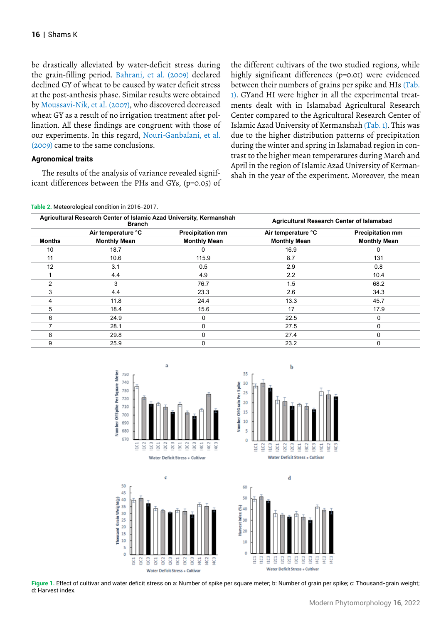be drastically alleviated by water-deficit stress during declined GY of wheat to be caused by water deficit stress at the post-anthesis phase. Similar results were obtained wheat GY as a result of no irrigation treatment after pollination. All these findings are congruent with those of the grain-filling period. Bahrani, et al. (2009) declared by Moussavi-Nik, et al. (2007), who discovered decreased our experiments. In this regard, Nouri-Ganbalani, et al. (2009) came to the same conclusions.

### **Agronomical traits**

The results of the analysis of variance revealed significant differences between the PHs and GYs, (p=0.05) of the different cultivars of the two studied regions, while highly significant differences (p=0.01) were evidenced 1). GYand HI were higher in all the experimental treatments dealt with in Islamabad Agricultural Research Center compared to the Agricultural Research Center of due to the higher distribution patterns of precipitation during the winter and spring in Islamabad region in contrast to the higher mean temperatures during March and April in the region of Islamic Azad University of Kermanshah in the year of the experiment. Moreover, the mean between their numbers of grains per spike and HIs (Tab. Islamic Azad University of Kermanshah (Tab. 1). This was

**Table 2.** Meteorological condition in 2016-2017.

| <b>Branch</b>       | <b>Agricultural Research Center of Islamabad</b> |                                                                     |                         |  |
|---------------------|--------------------------------------------------|---------------------------------------------------------------------|-------------------------|--|
| Air temperature °C  | <b>Precipitation mm</b>                          | Air temperature °C                                                  | <b>Precipitation mm</b> |  |
| <b>Monthly Mean</b> | <b>Monthly Mean</b>                              | <b>Monthly Mean</b>                                                 | <b>Monthly Mean</b>     |  |
| 18.7                | o                                                | 16.9                                                                |                         |  |
| 10.6                | 115.9                                            | 8.7                                                                 | 131                     |  |
| 3.1                 | 0.5                                              | 2.9                                                                 | 0.8                     |  |
| 4.4                 | 4.9                                              | 2.2                                                                 | 10.4                    |  |
| 3                   | 76.7                                             | 1.5                                                                 | 68.2                    |  |
| 4.4                 | 23.3                                             | 2.6                                                                 | 34.3                    |  |
| 11.8                | 24.4                                             | 13.3                                                                | 45.7                    |  |
| 18.4                | 15.6                                             | 17                                                                  | 17.9                    |  |
| 24.9                | 0                                                | 22.5                                                                | 0                       |  |
| 28.1                | 0                                                | 27.5                                                                | 0                       |  |
| 29.8                | 0                                                | 27.4                                                                | 0                       |  |
| 25.9                | 0                                                | 23.2                                                                | 0                       |  |
|                     |                                                  | Agricultural Research Center of Islamic Azad University, Kermanshah |                         |  |



 $\mathbf c$ 







**Figure 1.** Effect of cultivar and water deficit stress on a: Number of spike per square meter; b: Number of grain per spike; c: Thousand-grain weight; d: Harvest index.